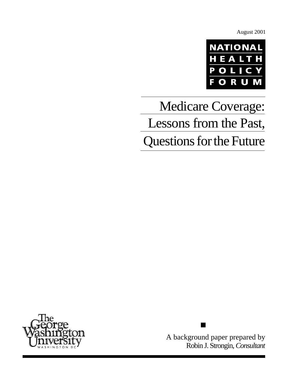August 2001



# Medicare Coverage: Lessons from the Past, Questions for the Future



A background paper prepared by Robin J. Strongin, *Consultant*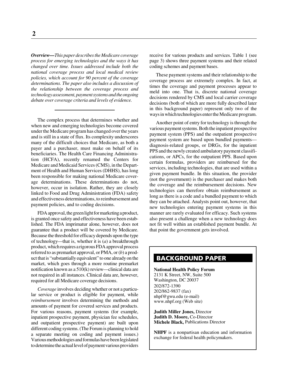*Overview—This paper describes the Medicare coverage process for emerging technologies and the ways it has changed over time. Issues addressed include both the national coverage process and local medical review policies, which account for 90 percent of the coverage determinations. The paper also includes a discussion of the relationship between the coverage process and technology assessment, payment systems and the ongoing debate over coverage criteria and levels of evidence.*

The complex process that determines whether and when new and emerging technologies become covered under the Medicare program has changed over the years and is still in a state of flux. Its complexity underscores many of the difficult choices that Medicare, as both a payer and a purchaser, must make on behalf of its beneficiaries. The Health Care Financing Administration (HCFA), recently renamed the Centers for Medicare and Medicaid Services (CMS), in the Department of Health and Human Services (DHHS), has long been responsible for making national Medicare coverage determinations. These determinations do not, however, occur in isolation. Rather, they are closely linked to Food and Drug Administration (FDA) safety and effectiveness determinations, to reimbursement and payment policies, and to coding decisions.

FDA approval, the green light for marketing a product, is granted once safety and effectiveness have been established. The FDA imprimatur alone, however, does not guarantee that a product will be covered by Medicare. Because the threshold for efficacy depends upon the type of technology—that is, whether it is (*a*) a breakthrough product, which requires a rigorous FDA approval process referred to as premarket approval, or PMA, or (*b*) a product that is "substantially equivalent" to one already on the market, which goes through a more routine premarket notification known as a 510(k) review—clinical data are not required in all instances. Clinical data are, however, required for all Medicare coverage decisions.

*Coverage* involves deciding whether or not a particular service or product is eligible for payment, while *reimbursement* involves determining the methods and amounts of payment for covered services and products. For various reasons, payment systems (for example, inpatient prospective payment, physician fee schedules, and outpatient prospective payment) are built upon different coding systems. (The Forum is planning to hold a separate meeting on coding and payment issues.) Various methodologies and formulas have been legislated to determine the actual level of payment various providers

receive for various products and services. Table 1 (see page 3) shows three payment systems and their related coding schemes and payment bases.

These payment systems and their relationship to the coverage process are extremely complex. In fact, at times the coverage and payment processes appear to meld into one. That is, discrete national coverage decisions rendered by CMS and local carrier coverage decisions (both of which are more fully described later in this background paper) represent only two of the ways in which technologies enter the Medicare program.

Another point of entry for technology is through the various payment systems. Both the inpatient prospective payment system (PPS) and the outpatient prospective payment system are based upon bundled payments diagnosis-related groups, or DRGs, for the inpatient PPS and the newly created ambulatory payment classifications, or APCs, for the outpatient PPS. Based upon certain formulas, providers are reimbursed for the services, including technologies, that are used within a given payment bundle. In this situation, the provider (not the government) is the purchaser and makes both the coverage and the reimbursement decisions. New technologies can therefore obtain reimbursement as long as there is a code and a bundled payment to which they can be attached. Analysts point out, however, that new technologies entering payment systems in this manner are rarely evaluated for efficacy. Such systems also present a challenge when a new technology does not fit well within an established payment bundle. At that point the government gets involved.

# **BACKGROUND PAPER**

**National Health Policy Forum** 2131 K Street, NW, Suite 500 Washington, DC 20037 202/872-1390 202/862-9837 (fax) nhpf@gwu.edu (e-mail) www.nhpf.org (Web site)

**Judith Miller Jones,** Director **Judith D. Moore,** Co-Director **Michele Black,** Publications Director

**NHPF** is a nonpartisan education and information exchange for federal health policymakers.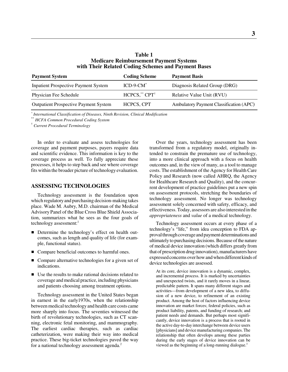| <b>Table 1</b>                                      |  |
|-----------------------------------------------------|--|
| <b>Medicare Reimbursement Payment Systems</b>       |  |
| with Their Related Coding Schemes and Payment Bases |  |

| <b>Payment System</b>                        | <b>Coding Scheme</b>      | <b>Payment Basis</b>                    |
|----------------------------------------------|---------------------------|-----------------------------------------|
| <b>Inpatient Prospective Payment System</b>  | $ICD-9-CM^*$              | Diagnosis Related Group (DRG)           |
| Physician Fee Schedule                       | HCPCS,** CPT <sup>+</sup> | Relative Value Unit (RVU)               |
| <b>Outpatient Prospective Payment System</b> | HCPCS, CPT                | Ambulatory Payment Classification (APC) |

*\* International Classification of Diseases, Ninth Revision, Clinical Modification*

\*\* *HCFA Common Procedural Coding System*

†  *Current Procedural Terminology*

In order to evaluate and assess technologies for coverage and payment purposes, payers require data and scientific evidence. This information is key to the coverage process as well. To fully appreciate these processes, it helps to step back and see where coverage fits within the broader picture of technology evaluation.

## **ASSESSING TECHNOLOGIES**

Technology assessment is the foundation upon which regulatory and purchasing decision-making takes place. Wade M. Aubry, M.D. chairman of the Medical Advisory Panel of the Blue Cross Blue Shield Association, summarizes what he sees as the four goals of technology assessment: $<sup>1</sup>$ </sup>

- Determine the technology's effect on health outcomes, such as length and quality of life (for example, functional status).
- Compare beneficial outcomes to harmful ones.
- Compare alternative technologies for a given set of indications.
- Use the results to make rational decisions related to coverage and medical practice, including physicians and patients choosing among treatment options.

Technology assessment in the United States began in earnest in the early1970s, when the relationship between medical technology and health care costs came more sharply into focus. The seventies witnessed the birth of revolutionary technologies, such as CT scanning, electronic fetal monitoring, and mammography. The earliest cardiac therapies, such as cardiac catheterization, were making their way into medical practice. These big-ticket technologies paved the way for a national technology assessment agenda.<sup>2</sup>

Over the years, technology assessment has been transformed from a regulatory model, originally intended to constrain the premature use of technology, into a more clinical approach with a focus on health outcomes and, in the view of many, as a tool to manage costs. The establishment of the Agency for Health Care Policy and Research (now called AHRQ, the Agency for Healthcare Research and Quality), and the concurrent development of practice guidelines put a new spin on assessment protocols, stretching the boundaries of technology assessment. No longer was technology assessment solely concerned with safety, efficacy, and effectiveness. Today, assessors are also interested in the *appropriateness* and *value* of a medical technology.

Technology assessment occurs at every phase of a technology's "life," from idea conception to FDA approval through coverage and payment determinations and ultimately to purchasing decisions. Because of the nature of medical device innovation (which differs greatly from that of prescription drug innovation), manufacturers have expressed concerns over how and when different kinds of device technologies are assessed.

At its core, device innovation is a dynamic, complex, and incremental process. It is marked by uncertainties and unexpected twists, and it rarely moves in a linear, predictable pattern. It spans many different stages and activities—from development of a new idea, to diffusion of a new device, to refinement of an existing product. Among the host of factors influencing device innovation are market forces; federal policies, such as product liability, patents, and funding of research; and patient needs and demands. But perhaps most significantly, device innovation is a process that is rooted in the active day-to-day interchange between device users [physicians] and device manufacturing companies. The relationship that often develops among these parties during the early stages of device innovation can be viewed as the beginning of a long-running dialogue.<sup>3</sup>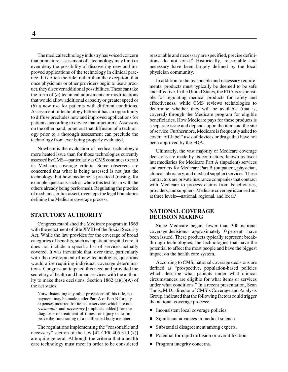The medical technology industry has voiced concern that premature assessment of a technology may limit or even deny the possibility of discovering new and improved applications of the technology in clinical practice. It is often the rule, rather than the exception, that once physicians or other providers begin to use a product, they discover additional possibilities. These can take the form of (*a*) technical adjustments or modifications that would allow additional capacity or greater speed or (*b*) a new use for patients with different conditions. Assessment of technology before it has an opportunity to diffuse precludes new and improved applications for patients, according to device manufacturers. Assessors on the other hand, point out that diffusion of a technology prior to a thorough assessment can preclude the technology from ever being properly evaluated.

Nowhere is the evaluation of medical technology a more heated issue than for those technologies currently assessed by CMS—particularly as CMS continues to craft its Medicare coverage criteria. Some observers are concerned that what is being assessed is not just the technology, but how medicine is practiced (raising, for example, questions such as where this test fits in with the others already being performed). Regulating the practice of medicine, critics assert, oversteps the legal boundaries defining the Medicare coverage process.

## **STATUTORY AUTHORITY**

Congress established the Medicare program in 1965 with the enactment of title XVIII of the Social Security Act. While the law provides for the coverage of broad categories of benefits, such as inpatient hospital care, it does not include a specific list of services actually covered. It was inevitable that, over time, particularly with the development of new technologies, questions would arise requiring individual coverage determinations. Congress anticipated this need and provided the secretary of health and human services with the authority to make these decisions. Section 1862 (a)(1)(A) of the act states:

Notwithstanding any other provisions of this title, no payment may be made under Part A or Part B for any expenses incurred for items or services which are not *reasonable* and *necessary* [emphasis added] for the diagnosis or treatment of illness or injury or to improve the functioning of a malformed body member.

The regulations implementing the "reasonable and necessary" section of the law [42 CFR 405.310 (k)] are quite general. Although the criteria that a health care technology must meet in order to be considered reasonable and necessary are specified, precise definitions do not exist.<sup>4</sup> Historically, reasonable and necessary have been largely defined by the local physician community.

In addition to the reasonable and necessary requirements, products must typically be deemed to be safe and effective. In the United States, the FDA is responsible for regulating medical products for safety and effectiveness, while CMS reviews technologies to determine whether they will be available (that is, covered) through the Medicare program for eligible beneficiaries. How Medicare pays for these products is a separate issue and depends upon the item and the site of service. Furthermore, Medicare is frequently asked to cover "off-label" uses of devices or drugs that have not been approved by the FDA.

Ultimately, the vast majority of Medicare coverage decisions are made by its contractors, known as fiscal intermediaries for Medicare Part A (inpatient) services and carriers for Medicare Part B (outpatient, physician, clinical laboratory, and medical supplier) services. These contractors are private insurance companies that contract with Medicare to process claims from beneficiaries, providers, and suppliers. Medicare coverage is carried out at three levels—national, regional, and local.<sup>5</sup>

#### **NATIONAL COVERAGE DECISION MAKING**

Since Medicare began, fewer than 300 national coverage decisions—approximately 10 percent—have been issued. These products typically represent breakthrough technologies, the technologies that have the potential to affect the most people and have the biggest impact on the health care system.

According to CMS, national coverage decisions are defined as "prospective, population-based policies which describe what patients under what clinical circumstances are eligible for what items or services under what conditions." In a recent presentation, Sean Tunis, M.D., director of CMS's Coverage and Analysis Group, indicated that the following factors could trigger the national coverage process:

- $\blacksquare$ Inconsistent local coverage policies.
- $\blacksquare$ Significant advances in medical science.
- $\blacksquare$ Substantial disagreement among experts.
- m. Potential for rapid diffusion or overutilization.
- Program integrity concerns.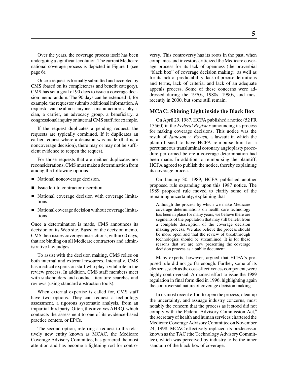Over the years, the coverage process itself has been undergoing a significant evolution. The current Medicare national coverage process is depicted in Figure 1 (see page 6).

Once a request is formally submitted and accepted by CMS (based on its completeness and benefit category), CMS has set a goal of 90 days to issue a coverage decision memorandum. The 90 days can be extended if, for example, the requestor submits additional information. A requestor can be almost anyone, a manufacturer, a physician, a carrier, an advocacy group, a beneficiary, a congressional inquiry or internal CMS staff, for example.

If the request duplicates a pending request, the requests are typically combined. If it duplicates an earlier request where a decision was made (that is, a noncoverage decision), there may or may not be sufficient evidence to reopen the request.

For those requests that are neither duplicates nor reconsiderations, CMS must make a determination from among the following options:

- National noncoverage decision.
- **I** Issue left to contractor discretion.
- National coverage decision with coverage limitations.
- National coverage decision without coverage limitations.

Once a determination is made, CMS announces its decision on its Web site. Based on the decision memo, CMS then issues coverage instructions, within 60 days, that are binding on all Medicare contractors and administrative law judges.

To assist with the decision making, CMS relies on both internal and external resources. Internally, CMS has medical experts on staff who play a vital role in the review process. In addition, CMS staff members meet with stakeholders and conduct literature searches and reviews (using standard abstraction tools).

When external expertise is called for, CMS staff have two options. They can request a technology assessment, a rigorous systematic analysis, from an impartial third party. Often, this involves AHRQ, which contracts the assessment to one of its evidence-based practice centers, or EPCs.

The second option, referring a request to the relatively new entity known as MCAC, the Medicare Coverage Advisory Committee, has garnered the most attention and has become a lightning rod for controversy. This controversy has its roots in the past, when companies and investors criticized the Medicare coverage process for its lack of openness (the proverbial "black box" of coverage decision making), as well as for its lack of predictability, lack of precise definitions and terms, lack of criteria, and lack of an adequate appeals process. Some of these concerns were addressed during the 1970s, 1980s, 1990s, and most recently in 2000, but some still remain.

#### **MCAC: Shining Light inside the Black Box**

On April 29, 1987, HCFA published a notice (52 FR 15560) in the *Federal Register* announcing its process for making coverage decisions. This notice was the result of *Jameson v. Bowen,* a lawsuit in which the plaintiff sued to have HCFA reimburse him for a percutaneous transluminal coronary angioplasty procedure performed before a coverage determination had been made. In addition to reimbursing the plaintiff, HCFA agreed to publish the notice, thereby explaining its coverage process.

On January 30, 1989, HCFA published another proposed rule expanding upon this 1987 notice. The 1989 proposed rule moved to clarify some of the remaining uncertainty, explaining that

Although the process by which we make Medicare coverage determinations on health care technology has been in place for many years, we believe there are segments of the population that may still benefit from a complete description of the coverage decision making process. We also believe the process should be more open and that the review of breakthrough technologies should be streamlined. It is for these reasons that we are now presenting the coverage decision process as a public document.

Many experts, however, argued that HCFA's proposed rule did not go far enough. Further, some of its elements, such as the cost-effectiveness component, were highly controversial. A modest effort to issue the 1989 regulation in final form died in 1996, highlighting again the controversial nature of coverage decision making.

In its most recent effort to open the process, clear up the uncertainty, and assuage industry concerns, most notably the concern that the process as it stood did not comply with the Federal Advisory Commission Act,<sup>6</sup> the secretary of health and human services chartered the Medicare Coverage Advisory Committee on November 24, 1998. MCAC effectively replaced its predecessor known as the TAC (the Technology Advisory Committee), which was perceived by industry to be the inner sanctum of the black box of coverage.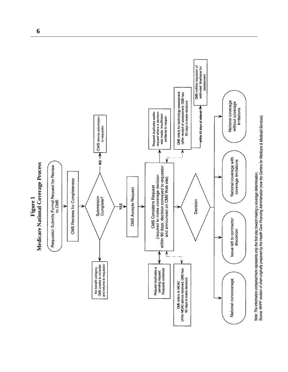

**6**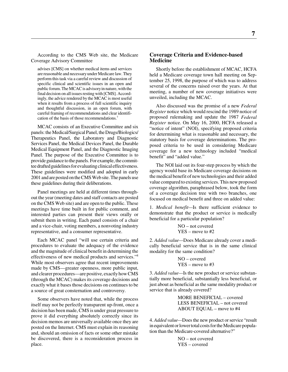According to the CMS Web site, the Medicare Coverage Advisory Committee

advises [CMS] on whether medical items and services are reasonable and necessary under Medicare law. They perform this task via a careful review and discussion of specific clinical and scientific issues in an open and public forum. The MCAC is advisory in nature, with the final decision on all issues resting with [CMS]. Accordingly, the advice rendered by the MCAC is most useful when it results from a process of full scientific inquiry and thoughtful discussion, in an open forum, with careful framing of recommendations and clear identification of the basis of those recommendations.7

MCAC consists of an Executive Committee and six panels: the Medical/Surgical Panel, the Drugs/Biologics/ Therapeutics Panel, the Laboratory and Diagnostic Services Panel, the Medical Devices Panel, the Durable Medical Equipment Panel, and the Diagnostic Imaging Panel. The purpose of the Executive Committee is to provide guidance to the panels. For example, the committee drafted guidelines for evaluating clinical effectiveness. These guidelines were modified and adopted in early 2001 and are posted on the CMS Web site. The panels use these guidelines during their deliberations.

Panel meetings are held at different times throughout the year (meeting dates and staff contacts are posted on the CMS Web site) and are open to the public. These meetings have time built in for public comment, and interested parties can present their views orally or submit them in writing. Each panel consists of a chair and a vice-chair, voting members, a nonvoting industry representative, and a consumer representative.

Each MCAC panel "will use certain criteria and procedures to evaluate the adequacy of the evidence and the magnitude of clinical benefit in determining the effectiveness of new medical products and services."8 While most observers agree that recent improvements made by CMS—greater openness, more public input, and clearer procedures—are positive, exactly how CMS (through the MCAC) makes its coverage decisions and exactly what it bases those decisions on continues to be a source of great consternation and controversy.

Some observers have noted that, while the process itself may not be perfectly transparent up-front, once a decision has been made, CMS is under great pressure to prove it did everything absolutely correctly since its decision memos are universally available once they are posted on the Internet. CMS must explain its reasoning and, should an omission of facts or some other mistake be discovered, there is a reconsideration process in place.

## **Coverage Criteria and Evidence-based Medicine**

Shortly before the establishment of MCAC, HCFA held a Medicare coverage town hall meeting on September 25, 1998, the purpose of which was to address several of the concerns raised over the years. At that meeting, a number of new coverage initiatives were unveiled, including the MCAC.

Also discussed was the promise of a new *Federal Register* notice which would rescind the 1989 notice of proposed rulemaking and update the 1987 *Federal Register* notice. On May 16, 2000, HCFA released a "notice of intent" (NOI), specifying proposed criteria for determining what is reasonable and necessary, the statutory basis for coverage determinations. The proposed criteria to be used in considering Medicare coverage for a new technology included "medical benefit" and "added value."

The NOI laid out its four-step process by which the agency would base its Medicare coverage decisions on the medical benefit of new technologies and their added value compared to existing services. This new proposed coverage algorithm, paraphrased below, took the form of a coverage decision tree with two branches, one focused on medical benefit and three on added value:

1. *Medical benefit—*Is there sufficient evidence to demonstrate that the product or service is medically beneficial for a particular population?

$$
NO - not covered
$$
  
 $YES - move to #2$ 

2. *Added value—*Does Medicare already cover a medically beneficial service that is in the same clinical modality for the same condition?

```
NO – covered
YES – move to #3
```
3. *Added value—*Is the new product or service substantially more beneficial, substantially less beneficial, or just about as beneficial as the same modality product or service that is already covered?

> MORE BENEFICIAL – covered LESS BENEFICIAL – not covered ABOUT EQUAL – move to #4

4. *Added value—*Does the new product or service "result in equivalent or lower total costs for the Medicare population than the Medicare-covered alternative?"

> NO – not covered YES – covered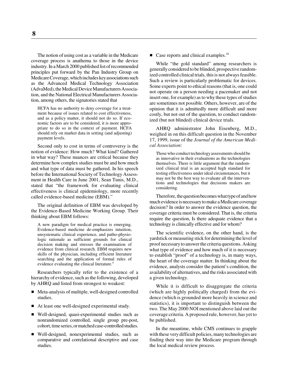The notion of using cost as a variable in the Medicare coverage process is anathema to those in the device industry. In a March 2000 published list of recommended principles put forward by the Pan Industry Group on Medicare Coverage, which includes key associations such as the Advanced Medical Technology Association (AdvaMed), the Medical Device Manufacturers Association, and the National Electrical Manufacturers Association, among others, the signatories stated that

HCFA has no authority to deny coverage for a treatment because of issues related to cost effectiveness, and as a policy matter, it should not do so. If economic factors are to be considered, it is more appropriate to do so in the context of payment. HCFA should rely on market data in setting (and adjusting) payment levels.

Second only to cost in terms of controversy is the notion of evidence: How much? What kind? Gathered in what way? These nuances are critical because they determine how complex studies must be and how much and what type of data must be gathered. In his speech before the International Society of Technology Assessment in Health Care in June 2001, Sean Tunis, M.D., stated that "the framework for evaluating clinical effectiveness is clinical epidemiology, more recently called evidence-based medicine (EBM)."

The original definition of EBM was developed by the Evidence-Based Medicine Working Group. Their thinking about EBM follows:

A new paradigm for medical practice is emerging. Evidence-based medicine de-emphasizes intuition, unsystematic clinical experience, and patho-physiologic rationale as sufficient grounds for clinical decision making and stresses the examination of evidence from clinical research. EBM requires new skills of the physician, including efficient literature searching and the application of formal rules of evidence evaluating the clinical literature.<sup>9</sup>

Researchers typically refer to the existence of a hierarchy of evidence, such as the following, developed by AHRQ and listed from strongest to weakest:

- Meta-analysis of multiple, well-designed controlled studies.
- At least one well-designed experimental study.
- Well-designed, quasi-experimental studies such as nonrandomized controlled, single group pre-post, cohort, time series, or matched case-controlled studies.
- Well-designed, nonexperimental studies, such as comparative and correlational descriptive and case studies.

 $\blacksquare$  Case reports and clinical examples.<sup>10</sup>

While "the gold standard" among researchers is generally considered to be blinded, prospective randomized controlled clinical trials, this is not always feasible. Such a review is particularly problematic for devices. Some experts point to ethical reasons (that is, one could not operate on a person needing a pacemaker and not insert one, for example) as to why these types of studies are sometimes not possible. Others, however, are of the opinion that it is admittedly more difficult and more costly, but not out of the question, to conduct randomized (but not blinded) clinical device trials.

AHRQ administrator John Eisenberg, M.D., weighed in on this difficult question in the November 17, 1999, issue of the *Journal of the American Medical Association*:

Those who conduct technology assessments should be as innovative in their evaluations as the technologies themselves. There is little argument that the randomized clinical trial is an accepted high standard for testing effectiveness under ideal circumstances, but it may not be the best way to evaluate all the interventions and technologies that decisions makers are considering.

Therefore, the question becomes what type of and how much evidence is necessary to make a Medicare coverage decision? In order to answer the evidence question, the coverage criteria must be considered. That is, the criteria require the question, Is there adequate evidence that a technology is clinically effective and for whom?

The scientific evidence, on the other hand, is the yardstick or measuring stick for determining the level of proof necessary to answer the criteria questions. Asking what type of evidence and how much of it is necessary to establish "proof" of a technology is, in many ways, the heart of the coverage matter. In thinking about the evidence, analysts consider the patient's condition, the availability of alternatives, and the risks associated with a given technology.

While it is difficult to disaggregate the criteria (which are highly politically charged) from the evidence (which is grounded more heavily in science and statistics), it is important to distinguish between the two. The May 2000 NOI mentioned above laid out the coverage criteria. A proposed rule, however, has yet to be published.

In the meantime, while CMS continues to grapple with these very difficult policies, many technologies are finding their way into the Medicare program through the local medical review process.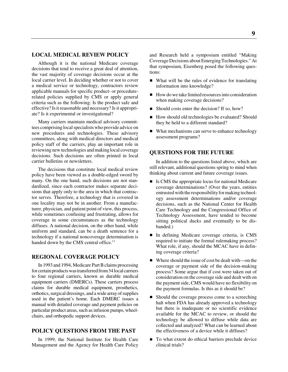#### **LOCAL MEDICAL REVIEW POLICY**

Although it is the national Medicare coverage decisions that tend to receive a great deal of attention, the vast majority of coverage decisions occur at the local carrier level. In deciding whether or not to cover a medical service or technology, contractors review applicable manuals for specific product- or procedurerelated policies supplied by CMS or apply general criteria such as the following: Is the product safe and effective? Is it reasonable and necessary? Is it appropriate? Is it experimental or investigational?

Many carriers maintain medical advisory committees comprising local specialists who provide advice on new procedures and technologies. These advisory committees, along with medical directors and medical policy staff of the carriers, play an important role in reviewing new technologies and making local coverage decisions. Such decisions are often printed in local carrier bulletins or newsletters.

The decisions that constitute local medical review policy have been viewed as a double-edged sword by many. On the one hand, such decisions are not standardized, since each contractor makes separate decisions that apply only to the area in which that contractor serves. Therefore, a technology that is covered in one locality may not be in another. From a manufacturer, physician, and patient point of view, this process, while sometimes confusing and frustrating, allows for coverage in some circumstances as the technology diffuses. A national decision, on the other hand, while uniform and standard, can be a death sentence for a technology if a national noncoverage determination is handed down by the CMS central office.<sup>11</sup>

#### **REGIONAL COVERAGE POLICY**

In 1993 and 1994, Medicare Part B claims processing for certain products was transferred from 34 local carriers to four regional carriers, known as durable medical equipment carriers (DMERCs). These carriers process claims for durable medical equipment, prosthetics, orthotics, surgical dressings, and a wide array of supplies used in the patient's home. Each DMERC issues a manual with detailed coverage and payment policies on particular product areas, such as infusion pumps, wheelchairs, and orthopedic support devices.

# **POLICY QUESTIONS FROM THE PAST**

In 1999, the National Institute for Health Care Management and the Agency for Health Care Policy and Research held a symposium entitled "Making Coverage Decisions about Emerging Technologies." At that symposium, Eisenberg posed the following questions:

- What will be the rules of evidence for translating information into knowledge?
- How do we take limited resources into consideration when making coverage decisions?
- Should costs enter the decision? If so, how?
- How should old technologies be evaluated? Should they be held to a different standard?
- What mechanisms can serve to enhance technology assessment programs?

## **QUESTIONS FOR THE FUTURE**

In addition to the questions listed above, which are still relevant, additional questions spring to mind when thinking about current and future coverage issues.

- Is CMS the appropriate locus for national Medicare coverage determinations? (Over the years, entities entrusted with the responsibility for making technology assessment determinations and/or coverage decisions, such as the National Center for Health Care Technology and the Congressional Office of Technology Assessment, have tended to become sitting political ducks and eventually to be disbanded.)
- $\blacksquare$  In defining Medicare coverage criteria, is CMS required to initiate the formal rulemaking process? What role, if any, should the MCAC have in defining coverage criteria?
- Where should the issue of cost be dealt with—on the coverage or payment side of the decision-making process? Some argue that if cost were taken out of consideration on the coverage side and dealt with on the payment side, CMS would have no flexibility on the payment formulas. Is this as it should be?
- Should the coverage process come to a screeching halt when FDA has already approved a technology but there is inadequate or no scientific evidence available for the MCAC to review, or should the technology be allowed to diffuse while data are collected and analyzed? What can be learned about the effectiveness of a device while it diffuses?
- To what extent do ethical barriers preclude device clinical trials?